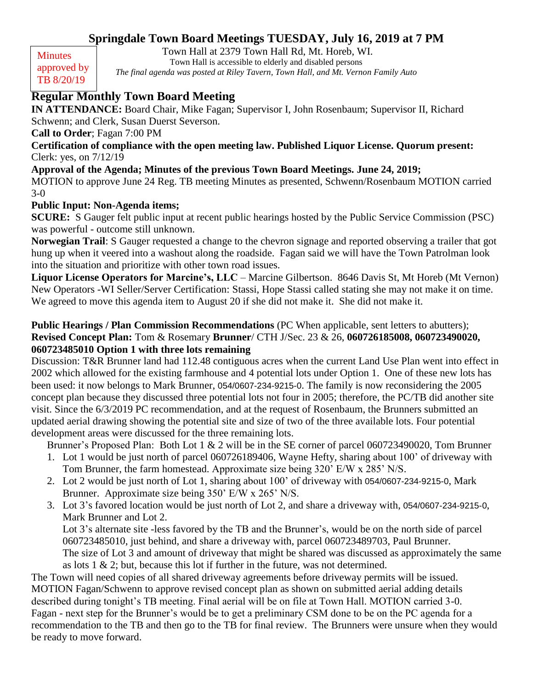# **Springdale Town Board Meetings TUESDAY, July 16, 2019 at 7 PM**

**Minutes** approved by TB 8/20/19

Town Hall at 2379 Town Hall Rd, Mt. Horeb, WI. Town Hall is accessible to elderly and disabled persons

*The final agenda was posted at Riley Tavern, Town Hall, and Mt. Vernon Family Auto*

# **Regular Monthly Town Board Meeting**

**IN ATTENDANCE:** Board Chair, Mike Fagan; Supervisor I, John Rosenbaum; Supervisor II, Richard Schwenn; and Clerk, Susan Duerst Severson.

**Call to Order**; Fagan 7:00 PM

**Certification of compliance with the open meeting law. Published Liquor License. Quorum present:**  Clerk: yes, on 7/12/19

## **Approval of the Agenda; Minutes of the previous Town Board Meetings. June 24, 2019;**

MOTION to approve June 24 Reg. TB meeting Minutes as presented, Schwenn/Rosenbaum MOTION carried 3-0

## **Public Input: Non-Agenda items;**

**SCURE:** S Gauger felt public input at recent public hearings hosted by the Public Service Commission (PSC) was powerful - outcome still unknown.

**Norwegian Trail**: S Gauger requested a change to the chevron signage and reported observing a trailer that got hung up when it veered into a washout along the roadside. Fagan said we will have the Town Patrolman look into the situation and prioritize with other town road issues.

**Liquor License Operators for Marcine's, LLC** – Marcine Gilbertson. 8646 Davis St, Mt Horeb (Mt Vernon) New Operators -WI Seller/Server Certification: Stassi, Hope Stassi called stating she may not make it on time. We agreed to move this agenda item to August 20 if she did not make it. She did not make it.

#### **Public Hearings / Plan Commission Recommendations** (PC When applicable, sent letters to abutters); **Revised Concept Plan:** Tom & Rosemary **Brunner**/ CTH J/Sec. 23 & 26, **060726185008, 060723490020, 060723485010 Option 1 with three lots remaining**

Discussion: T&R Brunner land had 112.48 contiguous acres when the current Land Use Plan went into effect in 2002 which allowed for the existing farmhouse and 4 potential lots under Option 1. One of these new lots has been used: it now belongs to Mark Brunner, 054/0607-234-9215-0. The family is now reconsidering the 2005 concept plan because they discussed three potential lots not four in 2005; therefore, the PC/TB did another site visit. Since the 6/3/2019 PC recommendation, and at the request of Rosenbaum, the Brunners submitted an updated aerial drawing showing the potential site and size of two of the three available lots. Four potential development areas were discussed for the three remaining lots.

Brunner's Proposed Plan: Both Lot 1 & 2 will be in the SE corner of parcel 060723490020, Tom Brunner

- 1. Lot 1 would be just north of parcel 060726189406, Wayne Hefty, sharing about 100' of driveway with Tom Brunner, the farm homestead. Approximate size being 320' E/W x 285' N/S.
- 2. Lot 2 would be just north of Lot 1, sharing about 100' of driveway with 054/0607-234-9215-0, Mark Brunner. Approximate size being 350' E/W x 265' N/S.
- 3. Lot 3's favored location would be just north of Lot 2, and share a driveway with, 054/0607-234-9215-0, Mark Brunner and Lot 2.

Lot 3's alternate site -less favored by the TB and the Brunner's, would be on the north side of parcel 060723485010, just behind, and share a driveway with, parcel 060723489703, Paul Brunner. The size of Lot 3 and amount of driveway that might be shared was discussed as approximately the same as lots 1 & 2; but, because this lot if further in the future, was not determined.

The Town will need copies of all shared driveway agreements before driveway permits will be issued. MOTION Fagan/Schwenn to approve revised concept plan as shown on submitted aerial adding details described during tonight's TB meeting. Final aerial will be on file at Town Hall. MOTION carried 3-0. Fagan - next step for the Brunner's would be to get a preliminary CSM done to be on the PC agenda for a recommendation to the TB and then go to the TB for final review. The Brunners were unsure when they would be ready to move forward.